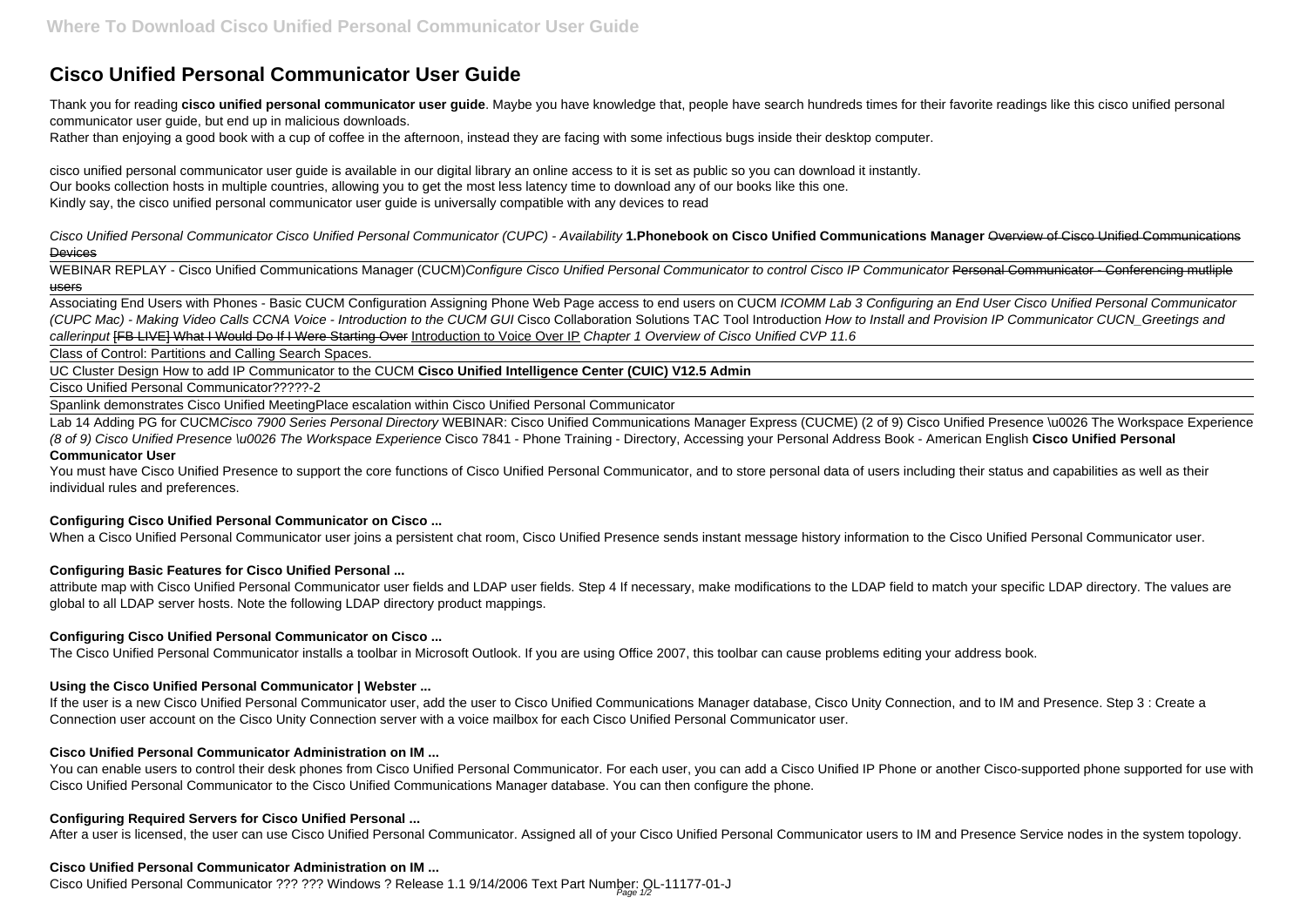# **Cisco Unified Personal Communicator User Guide**

Thank you for reading **cisco unified personal communicator user guide**. Maybe you have knowledge that, people have search hundreds times for their favorite readings like this cisco unified personal communicator user guide, but end up in malicious downloads.

Rather than enjoying a good book with a cup of coffee in the afternoon, instead they are facing with some infectious bugs inside their desktop computer.

Cisco Unified Personal Communicator Cisco Unified Personal Communicator (CUPC) - Availability **1.Phonebook on Cisco Unified Communications Manager** Overview of Cisco Unified Communications **Devices** 

WEBINAR REPLAY - Cisco Unified Communications Manager (CUCM)Configure Cisco Unified Personal Communicator to control Cisco IP Communicator Personal Communicator - Conferencing mutliple users

Associating End Users with Phones - Basic CUCM Configuration Assigning Phone Web Page access to end users on CUCM ICOMM Lab 3 Configuring an End User Cisco Unified Personal Communicator (CUPC Mac) - Making Video Calls CCNA Voice - Introduction to the CUCM GUI Cisco Collaboration Solutions TAC Tool Introduction How to Install and Provision IP Communicator CUCN Greetings and callerinput [FB LIVE] What I Would Do If I Were Starting Over Introduction to Voice Over IP Chapter 1 Overview of Cisco Unified CVP 11.6

cisco unified personal communicator user guide is available in our digital library an online access to it is set as public so you can download it instantly. Our books collection hosts in multiple countries, allowing you to get the most less latency time to download any of our books like this one. Kindly say, the cisco unified personal communicator user guide is universally compatible with any devices to read

Lab 14 Adding PG for CUCMCisco 7900 Series Personal Directory WEBINAR: Cisco Unified Communications Manager Express (CUCME) (2 of 9) Cisco Unified Presence \u0026 The Workspace Experience (8 of 9) Cisco Unified Presence \u0026 The Workspace Experience Cisco 7841 - Phone Training - Directory, Accessing your Personal Address Book - American English **Cisco Unified Personal Communicator User**

Class of Control: Partitions and Calling Search Spaces.

UC Cluster Design How to add IP Communicator to the CUCM **Cisco Unified Intelligence Center (CUIC) V12.5 Admin**

Cisco Unified Personal Communicator?????-2

Spanlink demonstrates Cisco Unified MeetingPlace escalation within Cisco Unified Personal Communicator

You can enable users to control their desk phones from Cisco Unified Personal Communicator. For each user, you can add a Cisco Unified IP Phone or another Cisco-supported phone supported for use with Cisco Unified Personal Communicator to the Cisco Unified Communications Manager database. You can then configure the phone.

You must have Cisco Unified Presence to support the core functions of Cisco Unified Personal Communicator, and to store personal data of users including their status and capabilities as well as their individual rules and preferences.

# **Configuring Cisco Unified Personal Communicator on Cisco ...**

When a Cisco Unified Personal Communicator user joins a persistent chat room, Cisco Unified Presence sends instant message history information to the Cisco Unified Personal Communicator user.

# **Configuring Basic Features for Cisco Unified Personal ...**

attribute map with Cisco Unified Personal Communicator user fields and LDAP user fields. Step 4 If necessary, make modifications to the LDAP field to match your specific LDAP directory. The values are global to all LDAP server hosts. Note the following LDAP directory product mappings.

#### **Configuring Cisco Unified Personal Communicator on Cisco ...**

The Cisco Unified Personal Communicator installs a toolbar in Microsoft Outlook. If you are using Office 2007, this toolbar can cause problems editing your address book.

# **Using the Cisco Unified Personal Communicator | Webster ...**

If the user is a new Cisco Unified Personal Communicator user, add the user to Cisco Unified Communications Manager database, Cisco Unity Connection, and to IM and Presence. Step 3 : Create a Connection user account on the Cisco Unity Connection server with a voice mailbox for each Cisco Unified Personal Communicator user.

#### **Cisco Unified Personal Communicator Administration on IM ...**

# **Configuring Required Servers for Cisco Unified Personal ...**

After a user is licensed, the user can use Cisco Unified Personal Communicator. Assigned all of your Cisco Unified Personal Communicator users to IM and Presence Service nodes in the system topology.

# **Cisco Unified Personal Communicator Administration on IM ...**

Cisco Unified Personal Communicator ??? ??? Windows ? Release 1.1 9/14/2006 Text Part Number: QL-11177-01-J